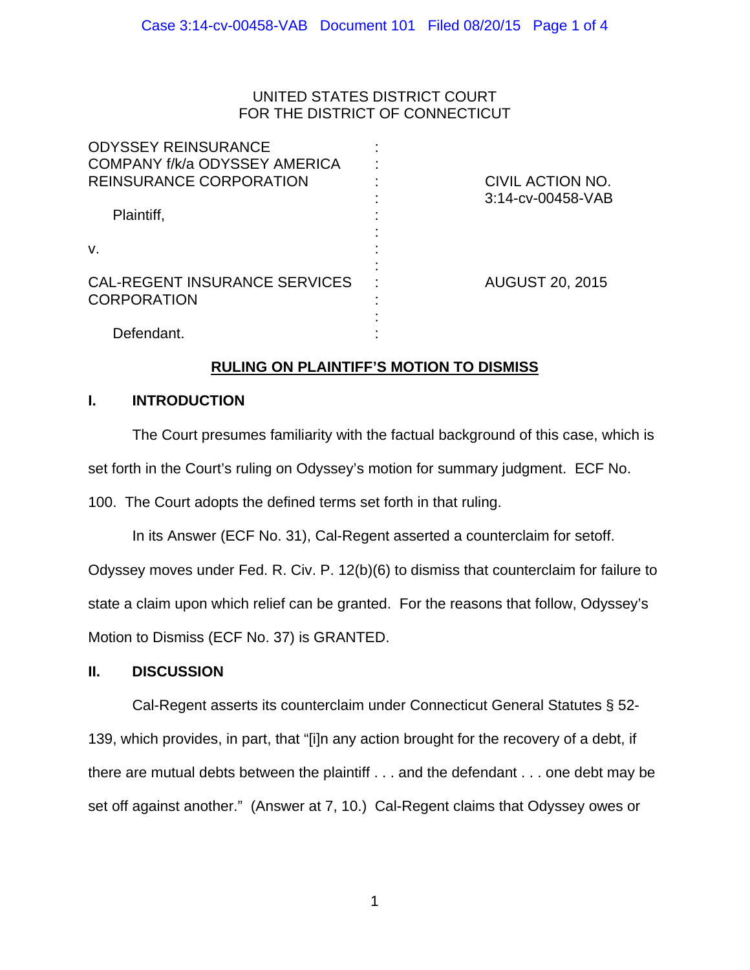## UNITED STATES DISTRICT COURT FOR THE DISTRICT OF CONNECTICUT

| <b>ODYSSEY REINSURANCE</b><br>COMPANY f/k/a ODYSSEY AMERICA<br><b>REINSURANCE CORPORATION</b> | CIVIL ACTION NO.<br>3:14-cv-00458-VAB |
|-----------------------------------------------------------------------------------------------|---------------------------------------|
| Plaintiff,<br>V.                                                                              |                                       |
| <b>CAL-REGENT INSURANCE SERVICES</b><br><b>CORPORATION</b>                                    | <b>AUGUST 20, 2015</b>                |
| Defendant.                                                                                    |                                       |

# **RULING ON PLAINTIFF'S MOTION TO DISMISS**

## **I. INTRODUCTION**

The Court presumes familiarity with the factual background of this case, which is

set forth in the Court's ruling on Odyssey's motion for summary judgment. ECF No.

100. The Court adopts the defined terms set forth in that ruling.

In its Answer (ECF No. 31), Cal-Regent asserted a counterclaim for setoff.

Odyssey moves under Fed. R. Civ. P. 12(b)(6) to dismiss that counterclaim for failure to state a claim upon which relief can be granted. For the reasons that follow, Odyssey's Motion to Dismiss (ECF No. 37) is GRANTED.

## **II. DISCUSSION**

Cal-Regent asserts its counterclaim under Connecticut General Statutes § 52- 139, which provides, in part, that "[i]n any action brought for the recovery of a debt, if there are mutual debts between the plaintiff . . . and the defendant . . . one debt may be set off against another." (Answer at 7, 10.) Cal-Regent claims that Odyssey owes or

1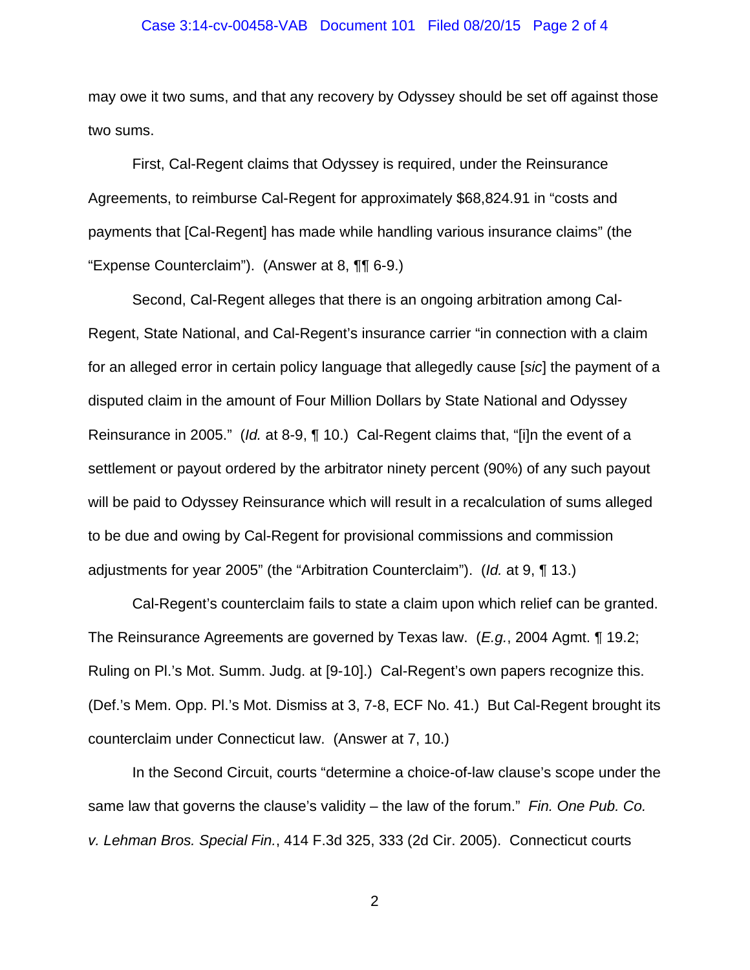#### Case 3:14-cv-00458-VAB Document 101 Filed 08/20/15 Page 2 of 4

may owe it two sums, and that any recovery by Odyssey should be set off against those two sums.

First, Cal-Regent claims that Odyssey is required, under the Reinsurance Agreements, to reimburse Cal-Regent for approximately \$68,824.91 in "costs and payments that [Cal-Regent] has made while handling various insurance claims" (the "Expense Counterclaim"). (Answer at 8, ¶¶ 6-9.)

Second, Cal-Regent alleges that there is an ongoing arbitration among Cal-Regent, State National, and Cal-Regent's insurance carrier "in connection with a claim for an alleged error in certain policy language that allegedly cause [*sic*] the payment of a disputed claim in the amount of Four Million Dollars by State National and Odyssey Reinsurance in 2005." (*Id.* at 8-9, ¶ 10.) Cal-Regent claims that, "[i]n the event of a settlement or payout ordered by the arbitrator ninety percent (90%) of any such payout will be paid to Odyssey Reinsurance which will result in a recalculation of sums alleged to be due and owing by Cal-Regent for provisional commissions and commission adjustments for year 2005" (the "Arbitration Counterclaim"). (*Id.* at 9, ¶ 13.)

Cal-Regent's counterclaim fails to state a claim upon which relief can be granted. The Reinsurance Agreements are governed by Texas law. (*E.g.*, 2004 Agmt. ¶ 19.2; Ruling on Pl.'s Mot. Summ. Judg. at [9-10].) Cal-Regent's own papers recognize this. (Def.'s Mem. Opp. Pl.'s Mot. Dismiss at 3, 7-8, ECF No. 41.) But Cal-Regent brought its counterclaim under Connecticut law. (Answer at 7, 10.)

In the Second Circuit, courts "determine a choice-of-law clause's scope under the same law that governs the clause's validity – the law of the forum." *Fin. One Pub. Co. v. Lehman Bros. Special Fin.*, 414 F.3d 325, 333 (2d Cir. 2005). Connecticut courts

2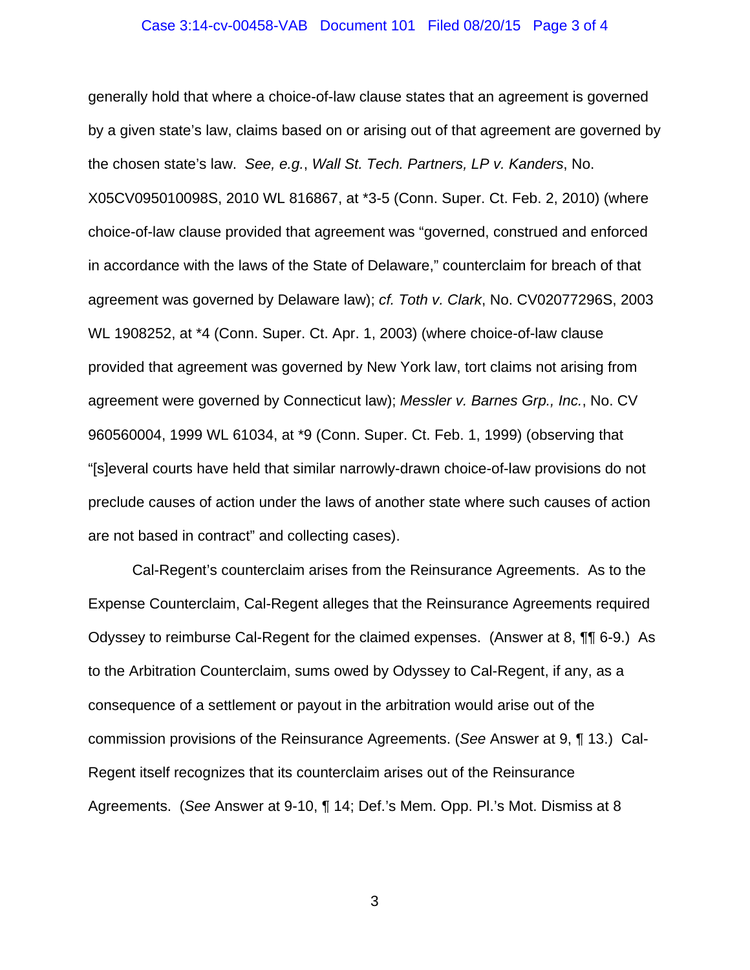#### Case 3:14-cv-00458-VAB Document 101 Filed 08/20/15 Page 3 of 4

generally hold that where a choice-of-law clause states that an agreement is governed by a given state's law, claims based on or arising out of that agreement are governed by the chosen state's law. *See, e.g.*, *Wall St. Tech. Partners, LP v. Kanders*, No. X05CV095010098S, 2010 WL 816867, at \*3-5 (Conn. Super. Ct. Feb. 2, 2010) (where choice-of-law clause provided that agreement was "governed, construed and enforced in accordance with the laws of the State of Delaware," counterclaim for breach of that agreement was governed by Delaware law); *cf. Toth v. Clark*, No. CV02077296S, 2003 WL 1908252, at \*4 (Conn. Super. Ct. Apr. 1, 2003) (where choice-of-law clause provided that agreement was governed by New York law, tort claims not arising from agreement were governed by Connecticut law); *Messler v. Barnes Grp., Inc.*, No. CV 960560004, 1999 WL 61034, at \*9 (Conn. Super. Ct. Feb. 1, 1999) (observing that "[s]everal courts have held that similar narrowly-drawn choice-of-law provisions do not preclude causes of action under the laws of another state where such causes of action are not based in contract" and collecting cases).

Cal-Regent's counterclaim arises from the Reinsurance Agreements. As to the Expense Counterclaim, Cal-Regent alleges that the Reinsurance Agreements required Odyssey to reimburse Cal-Regent for the claimed expenses. (Answer at 8, ¶¶ 6-9.) As to the Arbitration Counterclaim, sums owed by Odyssey to Cal-Regent, if any, as a consequence of a settlement or payout in the arbitration would arise out of the commission provisions of the Reinsurance Agreements. (*See* Answer at 9, ¶ 13.) Cal-Regent itself recognizes that its counterclaim arises out of the Reinsurance Agreements. (*See* Answer at 9-10, ¶ 14; Def.'s Mem. Opp. Pl.'s Mot. Dismiss at 8

3